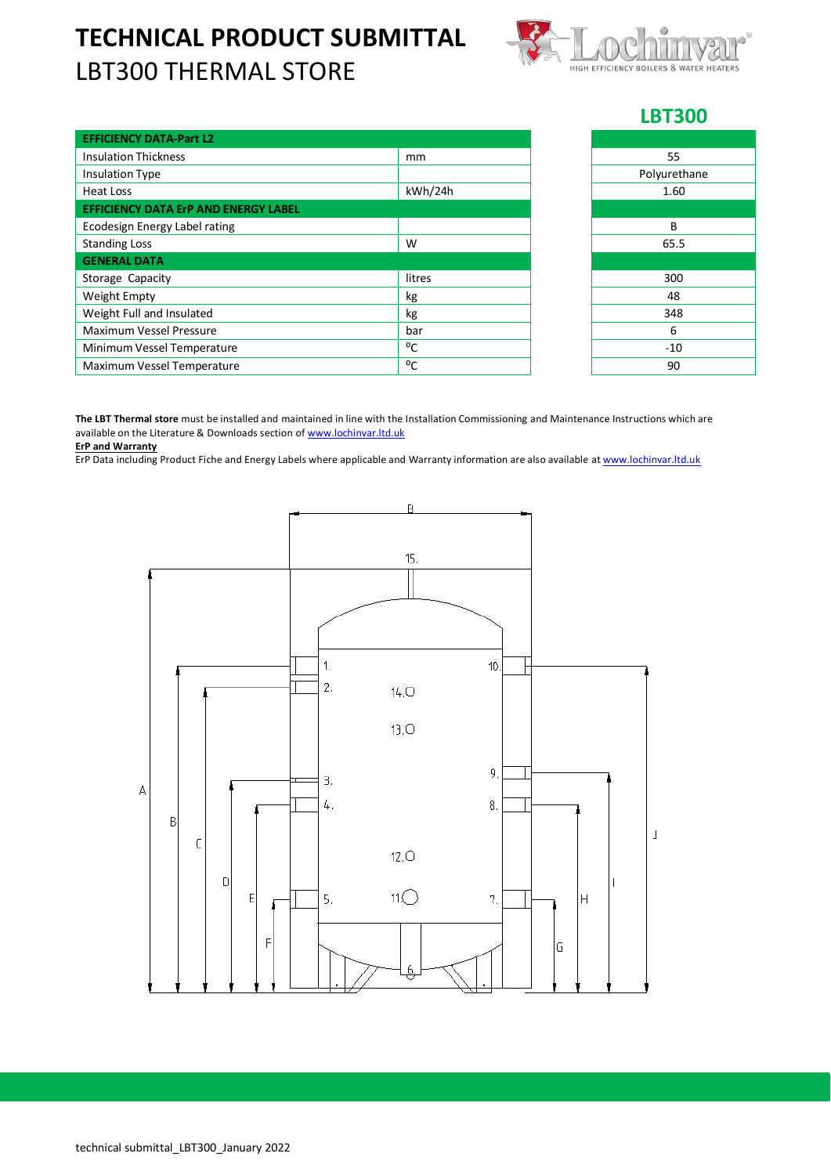## **TECHNICAL PRODUCT SUBMITTAL** LBT300 THERMAL STORE



## **LBT300**

| <b>EFFICIENCY DATA-Part L2</b>              |         |              |
|---------------------------------------------|---------|--------------|
| <b>Insulation Thickness</b>                 | mm      | 55           |
| <b>Insulation Type</b>                      |         | Polyurethane |
| Heat Loss                                   | kWh/24h | 1.60         |
| <b>EFFICIENCY DATA ErP AND ENERGY LABEL</b> |         |              |
| Ecodesign Energy Label rating               |         | B            |
| <b>Standing Loss</b>                        | W       | 65.5         |
| <b>GENERAL DATA</b>                         |         |              |
| Storage Capacity                            | litres  | 300          |
| Weight Empty                                | kg      | 48           |
| Weight Full and Insulated                   | kg      | 348          |
| Maximum Vessel Pressure                     | bar     | 6            |
| Minimum Vessel Temperature                  | °C      | $-10$        |
| Maximum Vessel Temperature                  | °C      | 90           |

| 55           |  |  |  |  |
|--------------|--|--|--|--|
| Polyurethane |  |  |  |  |
| 1.60         |  |  |  |  |
|              |  |  |  |  |
| B            |  |  |  |  |
| 65.5         |  |  |  |  |
|              |  |  |  |  |
| 300          |  |  |  |  |
| 48           |  |  |  |  |
| 348          |  |  |  |  |
| 6            |  |  |  |  |
| $-10$        |  |  |  |  |
| 90           |  |  |  |  |

**The LBT Thermal store** must be installed and maintained in line with the Installation Commissioning and Maintenance Instructions which are available on the Literature & Downloads section o[f www.lochinvar.ltd.uk](http://www.lochinvar.ltd.uk/)

**ErP and Warranty**

ErP Data including Product Fiche and Energy Labels where applicable and Warranty information are also available at [www.lochinvar.ltd.uk](http://www.lochinvar.ltd.uk/)